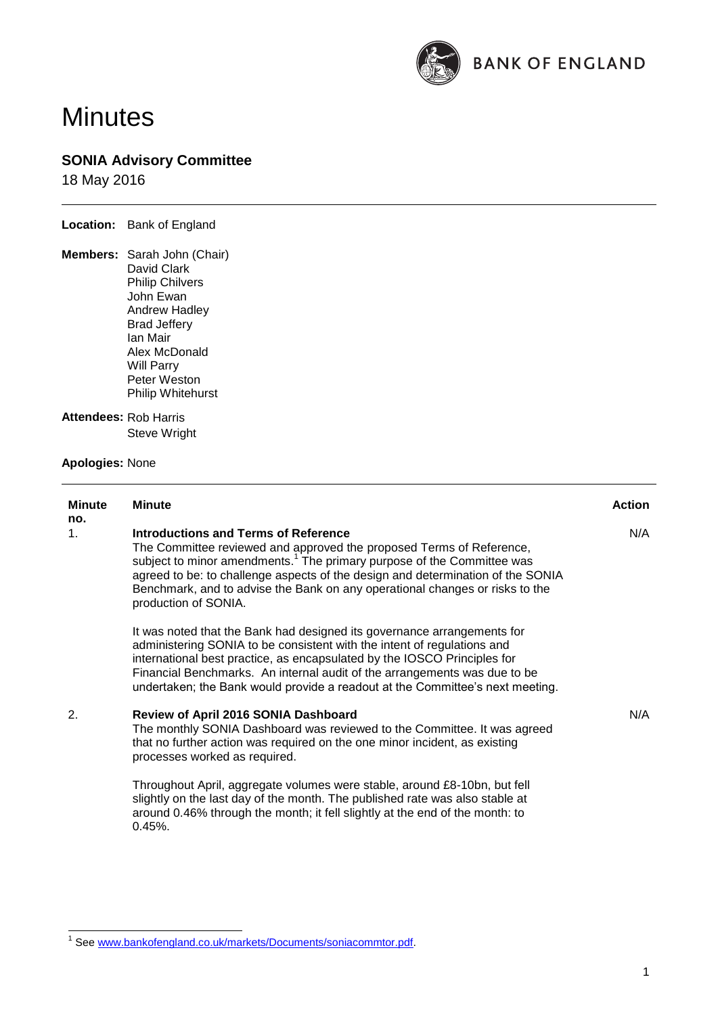

# **Minutes**

# **SONIA Advisory Committee**

18 May 2016

**Location:** Bank of England

**Members:** Sarah John (Chair) David Clark Philip Chilvers John Ewan Andrew Hadley Brad Jeffery Ian Mair Alex McDonald Will Parry Peter Weston Philip Whitehurst

## **Attendees:** Rob Harris Steve Wright

### **Apologies:** None

| <b>Minute</b><br>no. | <b>Minute</b>                                                                                                                                                                                                                                                                                                                                                                                 | <b>Action</b> |
|----------------------|-----------------------------------------------------------------------------------------------------------------------------------------------------------------------------------------------------------------------------------------------------------------------------------------------------------------------------------------------------------------------------------------------|---------------|
| 1.                   | Introductions and Terms of Reference<br>The Committee reviewed and approved the proposed Terms of Reference,<br>subject to minor amendments. <sup>1</sup> The primary purpose of the Committee was<br>agreed to be: to challenge aspects of the design and determination of the SONIA<br>Benchmark, and to advise the Bank on any operational changes or risks to the<br>production of SONIA. | N/A           |
|                      | It was noted that the Bank had designed its governance arrangements for<br>administering SONIA to be consistent with the intent of regulations and<br>international best practice, as encapsulated by the IOSCO Principles for<br>Financial Benchmarks. An internal audit of the arrangements was due to be<br>undertaken; the Bank would provide a readout at the Committee's next meeting.  |               |
| 2.                   | Review of April 2016 SONIA Dashboard<br>The monthly SONIA Dashboard was reviewed to the Committee. It was agreed<br>that no further action was required on the one minor incident, as existing<br>processes worked as required.                                                                                                                                                               | N/A           |
|                      | Throughout April, aggregate volumes were stable, around £8-10bn, but fell<br>slightly on the last day of the month. The published rate was also stable at<br>around 0.46% through the month; it fell slightly at the end of the month: to<br>$0.45%$ .                                                                                                                                        |               |

 1 See [www.bankofengland.co.uk/markets/Documents/soniacommtor.pdf.](http://www.bankofengland.co.uk/markets/Documents/soniacommtor.pdf)